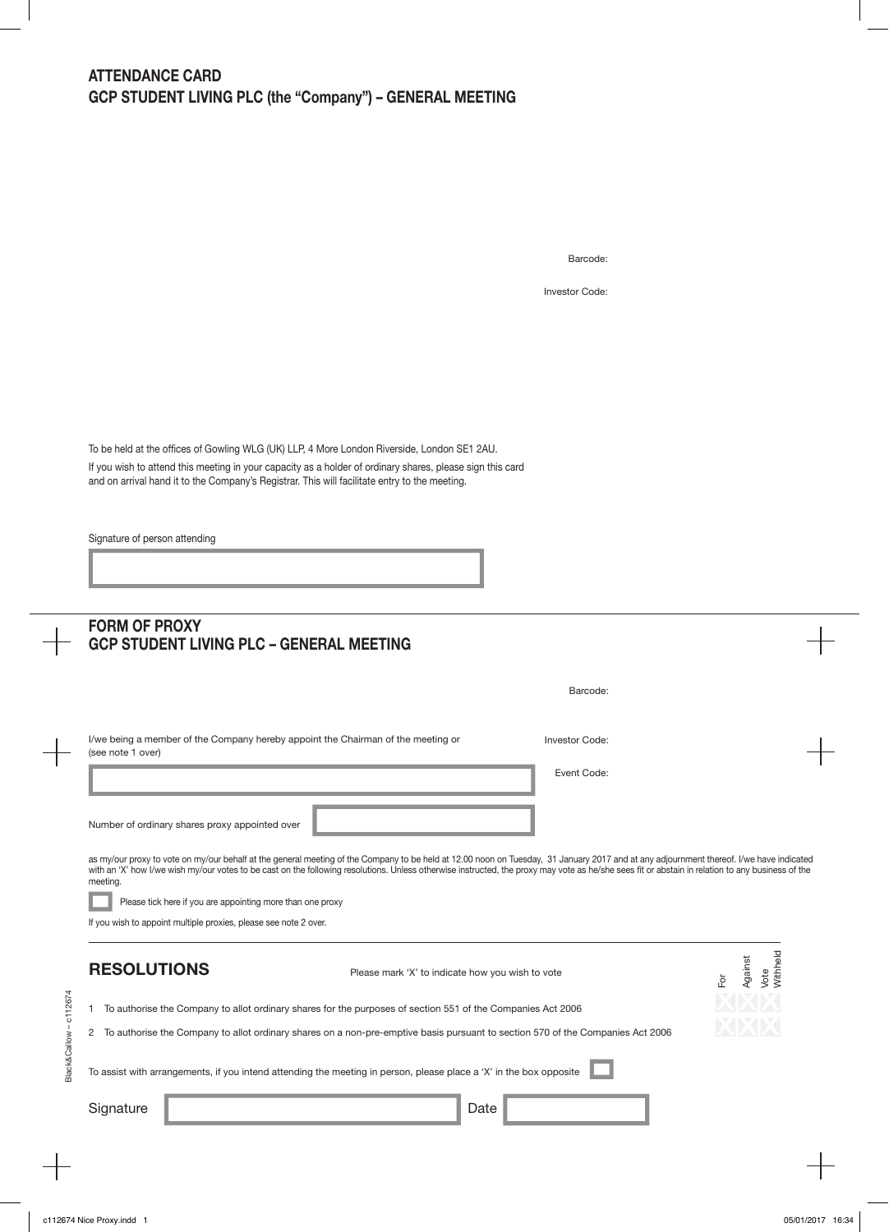Barcode:

Investor Code:

To be held at the offices of Gowling WLG (UK) LLP, 4 More London Riverside, London SE1 2AU. If you wish to attend this meeting in your capacity as a holder of ordinary shares, please sign this card and on arrival hand it to the Company's Registrar. This will facilitate entry to the meeting.

Signature of person attending

 $\begin{array}{c} \begin{array}{c} \begin{array}{c} \begin{array}{c} \end{array} \end{array} \end{array} \end{array} \end{array}$ 

|                        | <b>FORM OF PROXY</b><br><b>GCP STUDENT LIVING PLC - GENERAL MEETING</b>                                                                                                                                                                                                                                                                                                                                                                                                                                                                                                                     |                                                  |                |                                    |
|------------------------|---------------------------------------------------------------------------------------------------------------------------------------------------------------------------------------------------------------------------------------------------------------------------------------------------------------------------------------------------------------------------------------------------------------------------------------------------------------------------------------------------------------------------------------------------------------------------------------------|--------------------------------------------------|----------------|------------------------------------|
|                        |                                                                                                                                                                                                                                                                                                                                                                                                                                                                                                                                                                                             |                                                  | Barcode:       |                                    |
|                        | I/we being a member of the Company hereby appoint the Chairman of the meeting or<br>(see note 1 over)                                                                                                                                                                                                                                                                                                                                                                                                                                                                                       |                                                  | Investor Code: |                                    |
|                        |                                                                                                                                                                                                                                                                                                                                                                                                                                                                                                                                                                                             |                                                  | Event Code:    |                                    |
|                        | Number of ordinary shares proxy appointed over<br>as my/our proxy to vote on my/our behalf at the general meeting of the Company to be held at 12.00 noon on Tuesday, 31 January 2017 and at any adjournment thereof. I/we have indicated<br>with an 'X' how I/we wish my/our votes to be cast on the following resolutions. Unless otherwise instructed, the proxy may vote as he/she sees fit or abstain in relation to any business of the<br>meeting.<br>Please tick here if you are appointing more than one proxy<br>If you wish to appoint multiple proxies, please see note 2 over. |                                                  |                |                                    |
|                        | <b>RESOLUTIONS</b>                                                                                                                                                                                                                                                                                                                                                                                                                                                                                                                                                                          | Please mark 'X' to indicate how you wish to vote |                | Withheld<br>Against<br>Vote<br>For |
| -1                     | To authorise the Company to allot ordinary shares for the purposes of section 551 of the Companies Act 2006                                                                                                                                                                                                                                                                                                                                                                                                                                                                                 |                                                  |                |                                    |
| $\overline{c}$         | To authorise the Company to allot ordinary shares on a non-pre-emptive basis pursuant to section 570 of the Companies Act 2006                                                                                                                                                                                                                                                                                                                                                                                                                                                              |                                                  |                |                                    |
| Black&Callow - c112674 | To assist with arrangements, if you intend attending the meeting in person, please place a 'X' in the box opposite                                                                                                                                                                                                                                                                                                                                                                                                                                                                          |                                                  |                |                                    |
|                        |                                                                                                                                                                                                                                                                                                                                                                                                                                                                                                                                                                                             |                                                  |                |                                    |